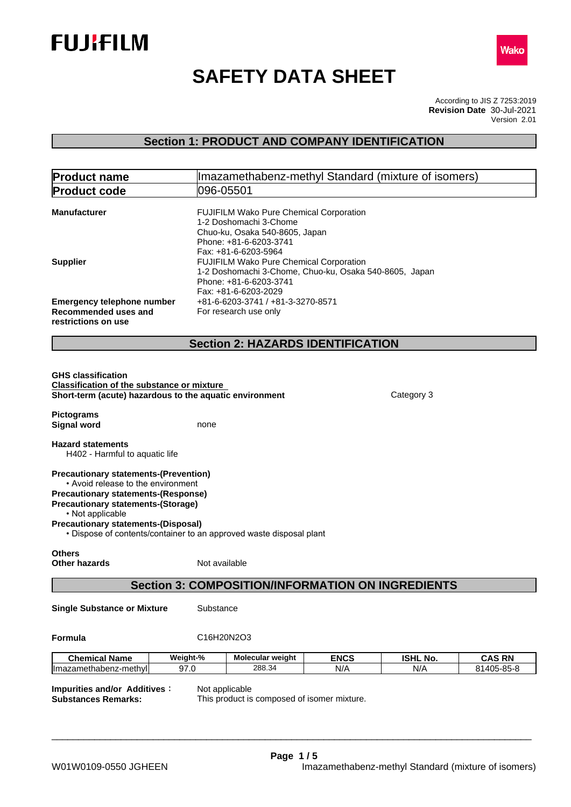



# **SAFETY DATA SHEET**

According to JIS Z 7253:2019 Version 2.01 **Revision Date** 30-Jul-2021

## **Section 1: PRODUCT AND COMPANY IDENTIFICATION**

| <b>Product name</b>                                                                                                                                                                                                                             |           | Imazamethabenz-methyl Standard (mixture of isomers)                                                                                                                                              |             |                 |               |
|-------------------------------------------------------------------------------------------------------------------------------------------------------------------------------------------------------------------------------------------------|-----------|--------------------------------------------------------------------------------------------------------------------------------------------------------------------------------------------------|-------------|-----------------|---------------|
| <b>Product code</b>                                                                                                                                                                                                                             |           | 096-05501                                                                                                                                                                                        |             |                 |               |
| <b>Manufacturer</b><br><b>Supplier</b>                                                                                                                                                                                                          |           | FUJIFILM Wako Pure Chemical Corporation<br>1-2 Doshomachi 3-Chome<br>Chuo-ku, Osaka 540-8605, Japan<br>Phone: +81-6-6203-3741<br>Fax: +81-6-6203-5964<br>FUJIFILM Wako Pure Chemical Corporation |             |                 |               |
|                                                                                                                                                                                                                                                 |           | 1-2 Doshomachi 3-Chome, Chuo-ku, Osaka 540-8605, Japan<br>Phone: +81-6-6203-3741<br>Fax: +81-6-6203-2029                                                                                         |             |                 |               |
| <b>Emergency telephone number</b><br>Recommended uses and<br>restrictions on use                                                                                                                                                                |           | +81-6-6203-3741 / +81-3-3270-8571<br>For research use only                                                                                                                                       |             |                 |               |
|                                                                                                                                                                                                                                                 |           | <b>Section 2: HAZARDS IDENTIFICATION</b>                                                                                                                                                         |             |                 |               |
| <b>GHS classification</b><br><b>Classification of the substance or mixture</b><br>Short-term (acute) hazardous to the aquatic environment                                                                                                       |           |                                                                                                                                                                                                  |             | Category 3      |               |
| <b>Pictograms</b><br><b>Signal word</b>                                                                                                                                                                                                         | none      |                                                                                                                                                                                                  |             |                 |               |
| <b>Hazard statements</b><br>H402 - Harmful to aquatic life                                                                                                                                                                                      |           |                                                                                                                                                                                                  |             |                 |               |
| <b>Precautionary statements-(Prevention)</b><br>• Avoid release to the environment<br><b>Precautionary statements-(Response)</b><br><b>Precautionary statements-(Storage)</b><br>• Not applicable<br><b>Precautionary statements-(Disposal)</b> |           | • Dispose of contents/container to an approved waste disposal plant                                                                                                                              |             |                 |               |
| <b>Others</b><br><b>Other hazards</b>                                                                                                                                                                                                           |           | Not available                                                                                                                                                                                    |             |                 |               |
|                                                                                                                                                                                                                                                 |           | <b>Section 3: COMPOSITION/INFORMATION ON INGREDIENTS</b>                                                                                                                                         |             |                 |               |
| <b>Single Substance or Mixture</b>                                                                                                                                                                                                              | Substance |                                                                                                                                                                                                  |             |                 |               |
| Formula                                                                                                                                                                                                                                         |           | C16H20N2O3                                                                                                                                                                                       |             |                 |               |
| <b>Chemical Name</b>                                                                                                                                                                                                                            | Weight-%  | Molecular weight                                                                                                                                                                                 | <b>ENCS</b> | <b>ISHL No.</b> | <b>CAS RN</b> |
| Imazamethabenz-methyl                                                                                                                                                                                                                           | 97.0      | 288.34                                                                                                                                                                                           | N/A         | N/A             | 81405-85-8    |
| <b>Impurities and/or Additives:</b><br><b>Substances Remarks:</b>                                                                                                                                                                               |           | Not applicable<br>This product is composed of isomer mixture.                                                                                                                                    |             |                 |               |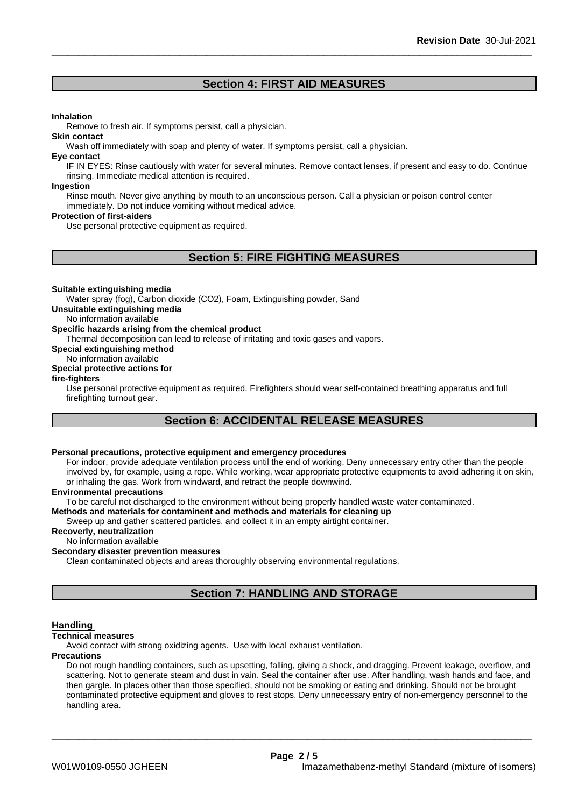### **Section 4: FIRST AID MEASURES**

#### **Inhalation**

Remove to fresh air. If symptoms persist, call a physician.

#### **Skin contact**

Wash off immediately with soap and plenty of water. If symptoms persist, call a physician.

#### **Eye contact**

IF IN EYES: Rinse cautiously with water for several minutes. Remove contact lenses, if present and easy to do. Continue rinsing. Immediate medical attention is required.

#### **Ingestion**

Rinse mouth. Never give anything by mouth to an unconscious person. Call a physician or poison control center immediately. Do not induce vomiting without medical advice.

#### **Protection of first-aiders**

Use personal protective equipment as required.

### **Section 5: FIRE FIGHTING MEASURES**

#### **Suitable extinguishing media**

Water spray (fog), Carbon dioxide (CO2), Foam, Extinguishing powder, Sand

**Unsuitable extinguishing media**

No information available

#### **Specific hazards arising from the chemical product**

Thermal decomposition can lead to release of irritating and toxic gases and vapors.

**Special extinguishing method**

#### No information available

### **Special protective actions for**

#### **fire-fighters**

Use personal protective equipment as required.Firefighters should wear self-contained breathing apparatus and full firefighting turnout gear.

### **Section 6: ACCIDENTAL RELEASE MEASURES**

### **Personal precautions, protective equipment and emergency procedures**

For indoor, provide adequate ventilation process until the end of working. Deny unnecessary entry other than the people involved by, for example, using a rope. While working, wear appropriate protective equipments to avoid adhering it on skin, or inhaling the gas. Work from windward, and retract the people downwind.

#### **Environmental precautions**

To be careful not discharged to the environment without being properly handled waste water contaminated.

#### **Methods and materials for contaminent and methods and materials for cleaning up**

Sweep up and gather scattered particles, and collect it in an empty airtight container.

### **Recoverly, neutralization**

No information available

#### **Secondary disaster prevention measures**

Clean contaminated objects and areas thoroughly observing environmental regulations.

### **Section 7: HANDLING AND STORAGE**

#### **Handling**

#### **Technical measures**

Avoid contact with strong oxidizing agents. Use with local exhaust ventilation.

#### **Precautions**

Do not rough handling containers, such as upsetting, falling, giving a shock, and dragging. Prevent leakage, overflow, and scattering. Not to generate steam and dust in vain. Seal the container after use. After handling, wash hands and face, and then gargle. In places other than those specified, should not be smoking or eating and drinking. Should not be brought contaminated protective equipment and gloves to rest stops. Deny unnecessary entry of non-emergency personnel to the handling area.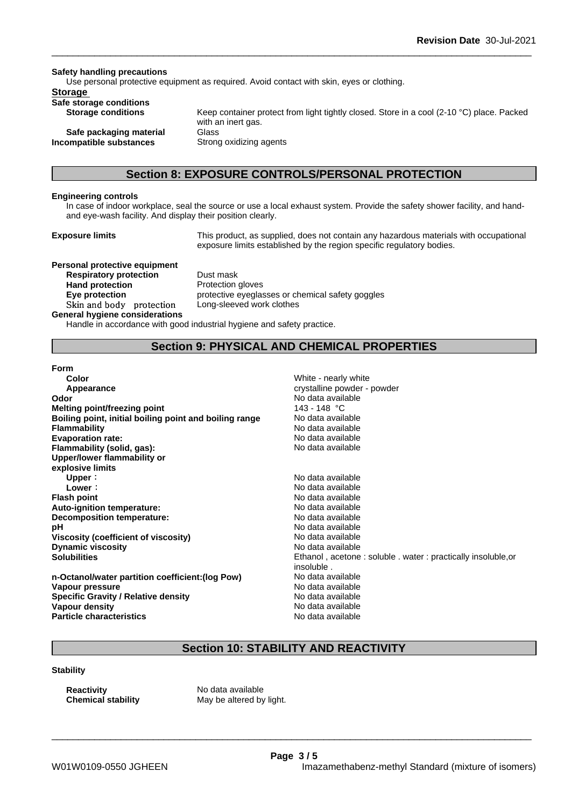**Safety handling precautions** Use personal protective equipment as required.Avoid contact with skin, eyes or clothing. **Storage Safe storage conditions Storage conditions** Keep container protect from light tightly closed. Store in a cool (2-10 °C) place. Packed with an inert gas.

**Safe packaging material** Glass **Incompatible substances** Strong oxidizing agents

### **Section 8: EXPOSURE CONTROLS/PERSONAL PROTECTION**

#### **Engineering controls**

In case of indoor workplace, seal the source or use a local exhaust system. Provide the safety shower facility, and handand eye-wash facility. And display their position clearly.

**Exposure limits** This product, as supplied, does not contain any hazardous materials with occupational exposure limits established by the region specific regulatory bodies.

**Personal protective equipment Respiratory protection** Dust mask **Hand protection** Protection gloves

**General hygiene considerations**

**Eye protection** protective eyeglasses or chemical safety goggles **Skinandbody protection** Long-sleeved work clothes

Handle in accordance with good industrial hygiene and safety practice.

### **Section 9: PHYSICAL AND CHEMICAL PROPERTIES**

**Color** White - nearly white crystalline powder - powder

**Form**

| Color                                                  | White - nearly white                                      |
|--------------------------------------------------------|-----------------------------------------------------------|
| Appearance                                             | crystalline powder - powder                               |
| Odor                                                   | No data available                                         |
| Melting point/freezing point                           | 143 - 148 °C                                              |
| Boiling point, initial boiling point and boiling range | No data available                                         |
| <b>Flammability</b>                                    | No data available                                         |
| <b>Evaporation rate:</b>                               | No data available                                         |
| Flammability (solid, gas):                             | No data available                                         |
| Upper/lower flammability or                            |                                                           |
| explosive limits                                       |                                                           |
| Upper:                                                 | No data available                                         |
| Lower:                                                 | No data available                                         |
| <b>Flash point</b>                                     | No data available                                         |
| Auto-ignition temperature:                             | No data available                                         |
| Decomposition temperature:                             | No data available                                         |
| рH                                                     | No data available                                         |
| Viscosity (coefficient of viscosity)                   | No data available                                         |
| <b>Dynamic viscosity</b>                               | No data available                                         |
| <b>Solubilities</b>                                    | Ethanol, acetone: soluble. water: practical<br>insoluble. |
| n-Octanol/water partition coefficient: (log Pow)       | No data available                                         |
| Vapour pressure                                        | No data available                                         |

**Boiling point, initial boiling point and boiling range** No data available **Flammability** No data available **Evaporation rate:** No data available **Flammability (solid, gas):** No data available **Upper:** No data available **Lower:** No data available **Flash point** No data available **Auto-ignition temperature:** No data available **Decomposition temperature:** No data available No data available **Viscosity (coefficient of viscosity)** No data available **Dynamic viscosity** No data available Ethanol, acetone : soluble . water : practically insoluble,or insoluble . **n-Octanol/water partition coefficient:(log Pow)** No data available **No data available Specific Gravity / Relative density** No data available<br> **Vapour density** No data available<br>
No data available **Particle characteristics** No data available

### **Section 10: STABILITY AND REACTIVITY**

\_\_\_\_\_\_\_\_\_\_\_\_\_\_\_\_\_\_\_\_\_\_\_\_\_\_\_\_\_\_\_\_\_\_\_\_\_\_\_\_\_\_\_\_\_\_\_\_\_\_\_\_\_\_\_\_\_\_\_\_\_\_\_\_\_\_\_\_\_\_\_\_\_\_\_\_\_\_\_\_\_\_\_\_\_\_\_\_\_\_

**Stability**

**Vapour density** 

**Reactivity Reactivity** No data available<br> **Chemical stability** May be altered by

May be altered by light.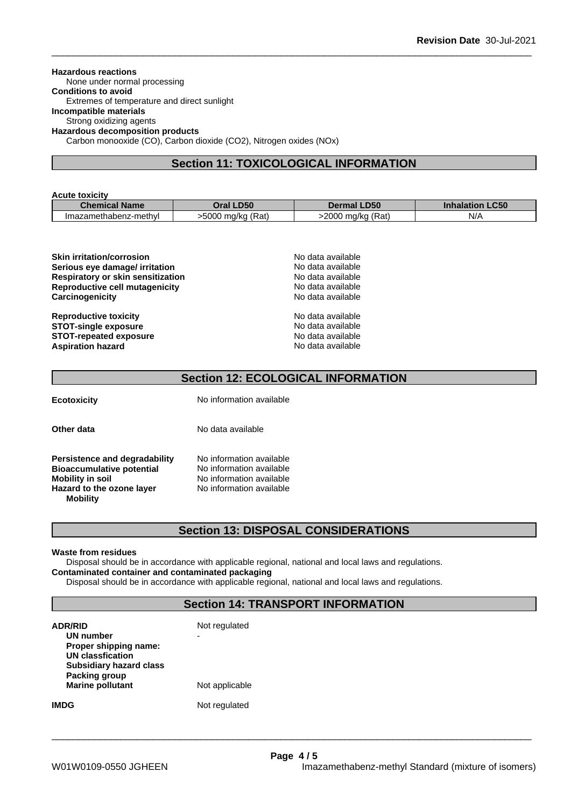#### **Hazardous reactions**

None under normal processing

**Conditions to avoid** Extremes of temperature and direct sunlight

### **Incompatible materials**

Strong oxidizing agents

**Hazardous decomposition products**

Carbon monooxide (CO), Carbon dioxide (CO2), Nitrogen oxides (NOx)

### **Section 11: TOXICOLOGICAL INFORMATION**

| <b>Acute toxicity</b> |                   |                    |                        |
|-----------------------|-------------------|--------------------|------------------------|
| <b>Chemical Name</b>  | <b>Oral LD50</b>  | <b>Dermal LD50</b> | <b>Inhalation LC50</b> |
| Imazamethabenz-methyl | -5000 mg/kg (Rat) | >2000 mg/kg (Rat)  | N/A                    |

| No data available |  |
|-------------------|--|
| No data available |  |
| No data available |  |
| No data available |  |
| No data available |  |
| No data available |  |
| No data available |  |
| No data available |  |
| No data available |  |
|                   |  |

### **Section 12: ECOLOGICAL INFORMATION**

**Ecotoxicity** No information available

**Other data** No data available

| Persistence and degradability    | No information available |
|----------------------------------|--------------------------|
| <b>Bioaccumulative potential</b> | No information available |
| <b>Mobility in soil</b>          | No information available |
| Hazard to the ozone layer        | No information available |
| <b>Mobility</b>                  |                          |

### **Section 13: DISPOSAL CONSIDERATIONS**

#### **Waste from residues**

Disposal should be in accordance with applicable regional, national and local laws and regulations. **Contaminated container and contaminated packaging**

Disposal should be in accordance with applicable regional, national and local laws and regulations.

### **Section 14: TRANSPORT INFORMATION**

| <b>ADR/RID</b><br>UN number<br>Proper shipping name:<br><b>UN classfication</b><br><b>Subsidiary hazard class</b> | Not regulated<br>- |
|-------------------------------------------------------------------------------------------------------------------|--------------------|
| Packing group<br><b>Marine pollutant</b>                                                                          | Not applicable     |
| IMDG                                                                                                              | Not regulated      |